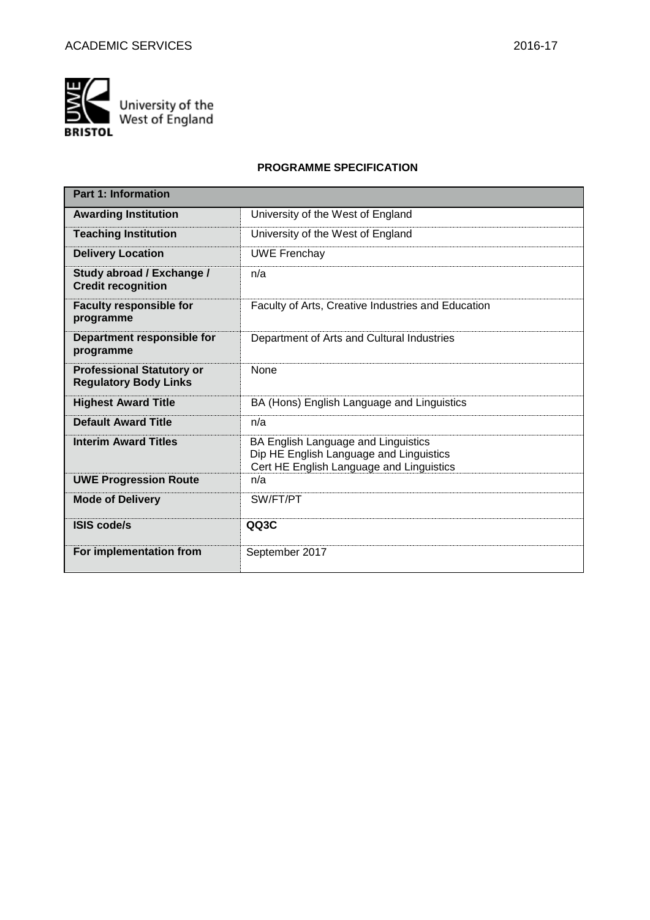

### **PROGRAMME SPECIFICATION**

| <b>Part 1: Information</b>                                       |                                                                                                                            |
|------------------------------------------------------------------|----------------------------------------------------------------------------------------------------------------------------|
| <b>Awarding Institution</b>                                      | University of the West of England                                                                                          |
| <b>Teaching Institution</b>                                      | University of the West of England                                                                                          |
| <b>Delivery Location</b>                                         | <b>UWE Frenchay</b>                                                                                                        |
| Study abroad / Exchange /<br><b>Credit recognition</b>           | n/a                                                                                                                        |
| <b>Faculty responsible for</b><br>programme                      | Faculty of Arts, Creative Industries and Education                                                                         |
| Department responsible for<br>programme                          | Department of Arts and Cultural Industries                                                                                 |
| <b>Professional Statutory or</b><br><b>Regulatory Body Links</b> | <b>None</b>                                                                                                                |
| <b>Highest Award Title</b>                                       | BA (Hons) English Language and Linguistics                                                                                 |
| <b>Default Award Title</b>                                       | n/a                                                                                                                        |
| <b>Interim Award Titles</b>                                      | BA English Language and Linguistics<br>Dip HE English Language and Linguistics<br>Cert HE English Language and Linguistics |
| <b>UWE Progression Route</b>                                     | n/a                                                                                                                        |
| <b>Mode of Delivery</b>                                          | SW/FT/PT                                                                                                                   |
| <b>ISIS code/s</b>                                               | QQ3C                                                                                                                       |
| For implementation from                                          | September 2017                                                                                                             |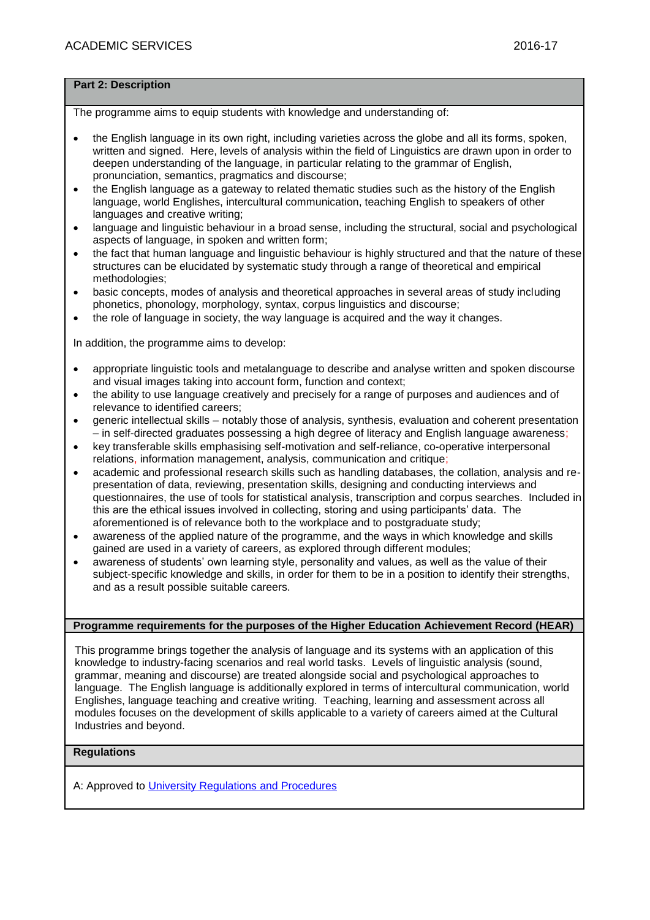### **Part 2: Description**

The programme aims to equip students with knowledge and understanding of:

- the English language in its own right, including varieties across the globe and all its forms, spoken, written and signed. Here, levels of analysis within the field of Linguistics are drawn upon in order to deepen understanding of the language, in particular relating to the grammar of English, pronunciation, semantics, pragmatics and discourse;
- the English language as a gateway to related thematic studies such as the history of the English language, world Englishes, intercultural communication, teaching English to speakers of other languages and creative writing;
- language and linguistic behaviour in a broad sense, including the structural, social and psychological aspects of language, in spoken and written form;
- the fact that human language and linguistic behaviour is highly structured and that the nature of these structures can be elucidated by systematic study through a range of theoretical and empirical methodologies;
- basic concepts, modes of analysis and theoretical approaches in several areas of study including phonetics, phonology, morphology, syntax, corpus linguistics and discourse;
- the role of language in society, the way language is acquired and the way it changes.

In addition, the programme aims to develop:

- appropriate linguistic tools and metalanguage to describe and analyse written and spoken discourse and visual images taking into account form, function and context;
- the ability to use language creatively and precisely for a range of purposes and audiences and of relevance to identified careers;
- generic intellectual skills notably those of analysis, synthesis, evaluation and coherent presentation – in self-directed graduates possessing a high degree of literacy and English language awareness;
- key transferable skills emphasising self-motivation and self-reliance, co-operative interpersonal relations, information management, analysis, communication and critique;
- academic and professional research skills such as handling databases, the collation, analysis and representation of data, reviewing, presentation skills, designing and conducting interviews and questionnaires, the use of tools for statistical analysis, transcription and corpus searches. Included in this are the ethical issues involved in collecting, storing and using participants' data. The aforementioned is of relevance both to the workplace and to postgraduate study;
- awareness of the applied nature of the programme, and the ways in which knowledge and skills gained are used in a variety of careers, as explored through different modules;
- awareness of students' own learning style, personality and values, as well as the value of their subject-specific knowledge and skills, in order for them to be in a position to identify their strengths, and as a result possible suitable careers.

### **Programme requirements for the purposes of the Higher Education Achievement Record (HEAR)**

This programme brings together the analysis of language and its systems with an application of this knowledge to industry-facing scenarios and real world tasks. Levels of linguistic analysis (sound, grammar, meaning and discourse) are treated alongside social and psychological approaches to language. The English language is additionally explored in terms of intercultural communication, world Englishes, language teaching and creative writing. Teaching, learning and assessment across all modules focuses on the development of skills applicable to a variety of careers aimed at the Cultural Industries and beyond.

### **Regulations**

A: Approved to [University Regulations and Procedures](http://www1.uwe.ac.uk/students/academicadvice/assessments/regulationsandprocedures.aspx)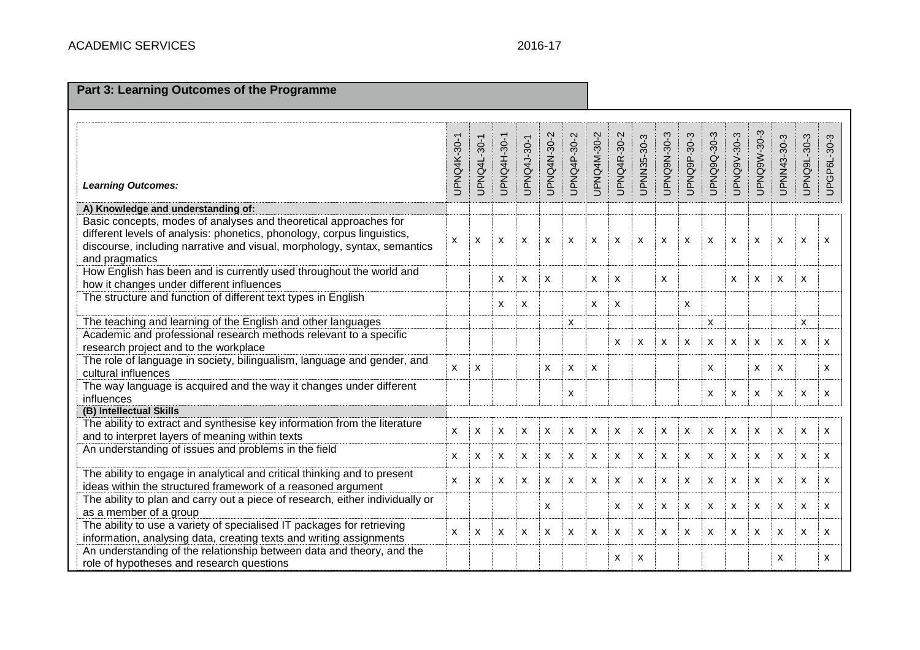## 2016-17

# **Part 3: Learning Outcomes of the Programme**

| <b>Learning Outcomes:</b>                                                                                                                                                                                                                 | <b>UPNQ4K-30-1</b> | UPNQ4L-30-1 | <b>UPNQ4H-30-1</b> | UPNQ4J-30-1 | UPNQ4N-30-2 | UPNQ4P-30-2 | UPNQ4M-30-2               | UPNQ4R-30-2 | UPNN35-30-3 | UPNQ9N-30-3  | UPNQ9P-30-3               | UPNQ9Q-30-3               | UPNQ9V-30-3               | UPNQ9W-30-3               | UPNN43-30-3 | UPNQ9L-30-3 | UPGP6L-30-3 |
|-------------------------------------------------------------------------------------------------------------------------------------------------------------------------------------------------------------------------------------------|--------------------|-------------|--------------------|-------------|-------------|-------------|---------------------------|-------------|-------------|--------------|---------------------------|---------------------------|---------------------------|---------------------------|-------------|-------------|-------------|
| A) Knowledge and understanding of:                                                                                                                                                                                                        |                    |             |                    |             |             |             |                           |             |             |              |                           |                           |                           |                           |             |             |             |
| Basic concepts, modes of analyses and theoretical approaches for<br>different levels of analysis: phonetics, phonology, corpus linguistics,<br>discourse, including narrative and visual, morphology, syntax, semantics<br>and pragmatics | X                  | X           | X                  | X           | X           | X           | $\mathsf{x}$              | X           | X           | $\mathsf{x}$ | X                         | $\boldsymbol{\mathsf{x}}$ | $\boldsymbol{\mathsf{x}}$ | $\boldsymbol{\mathsf{x}}$ | X           | X           | X           |
| How English has been and is currently used throughout the world and<br>how it changes under different influences                                                                                                                          |                    |             | X                  | X           | X           |             | X                         | X           |             | X            |                           |                           | $\boldsymbol{\mathsf{x}}$ | $\boldsymbol{\mathsf{x}}$ | X           | X           |             |
| The structure and function of different text types in English                                                                                                                                                                             |                    |             | X                  | X           |             |             | X                         | X           |             |              | X                         |                           |                           |                           |             |             |             |
| The teaching and learning of the English and other languages                                                                                                                                                                              |                    |             |                    |             |             | X           |                           |             |             |              |                           | X                         |                           |                           |             | X           |             |
| Academic and professional research methods relevant to a specific<br>research project and to the workplace                                                                                                                                |                    |             |                    |             |             |             |                           | X           | X           | X            | X                         | $\boldsymbol{\mathsf{x}}$ | $\boldsymbol{\mathsf{x}}$ | $\boldsymbol{\mathsf{x}}$ | X           | X           | X           |
| The role of language in society, bilingualism, language and gender, and<br>cultural influences                                                                                                                                            | $\mathsf{x}$       | X           |                    |             | X           | X           | X                         |             |             |              |                           | X                         |                           | X                         | X           |             | X           |
| The way language is acquired and the way it changes under different<br>influences                                                                                                                                                         |                    |             |                    |             |             | X           |                           |             |             |              |                           | X                         | X                         | $\mathsf{x}$              | X           | X           | X           |
| (B) Intellectual Skills                                                                                                                                                                                                                   |                    |             |                    |             |             |             |                           |             |             |              |                           |                           |                           |                           |             |             |             |
| The ability to extract and synthesise key information from the literature<br>and to interpret layers of meaning within texts                                                                                                              | X                  | X           | X                  | X           | X           | X           | X                         | X           | X           | X            | X                         | X                         | X                         | $\boldsymbol{\mathsf{x}}$ | X           | X           | X           |
| An understanding of issues and problems in the field                                                                                                                                                                                      | X                  | X           | X                  | X           | X           | x           | X                         | X           | X           | $\mathsf{x}$ | X                         | $\boldsymbol{\mathsf{x}}$ | X                         | X                         | X           | X           | X           |
| The ability to engage in analytical and critical thinking and to present<br>ideas within the structured framework of a reasoned argument                                                                                                  | X                  | X           | X                  | X           | X           | x           | X                         | X           | X           | x            | X                         | X                         | X                         | X                         | X           | X           | X           |
| The ability to plan and carry out a piece of research, either individually or<br>as a member of a group                                                                                                                                   |                    |             |                    |             | X           |             |                           | X           | X           | x            | X                         | X                         | X                         | X                         | X           | X           | X           |
| The ability to use a variety of specialised IT packages for retrieving<br>information, analysing data, creating texts and writing assignments                                                                                             | X                  | X           | X                  | X           | X           | x           | $\boldsymbol{\mathsf{x}}$ | X           | X           | X            | $\boldsymbol{\mathsf{x}}$ | $\boldsymbol{\mathsf{x}}$ | $\boldsymbol{\mathsf{x}}$ | X                         | X           | X           | X           |
| An understanding of the relationship between data and theory, and the<br>role of hypotheses and research questions                                                                                                                        |                    |             |                    |             |             |             |                           | X           | x           |              |                           |                           |                           |                           | X           |             | X           |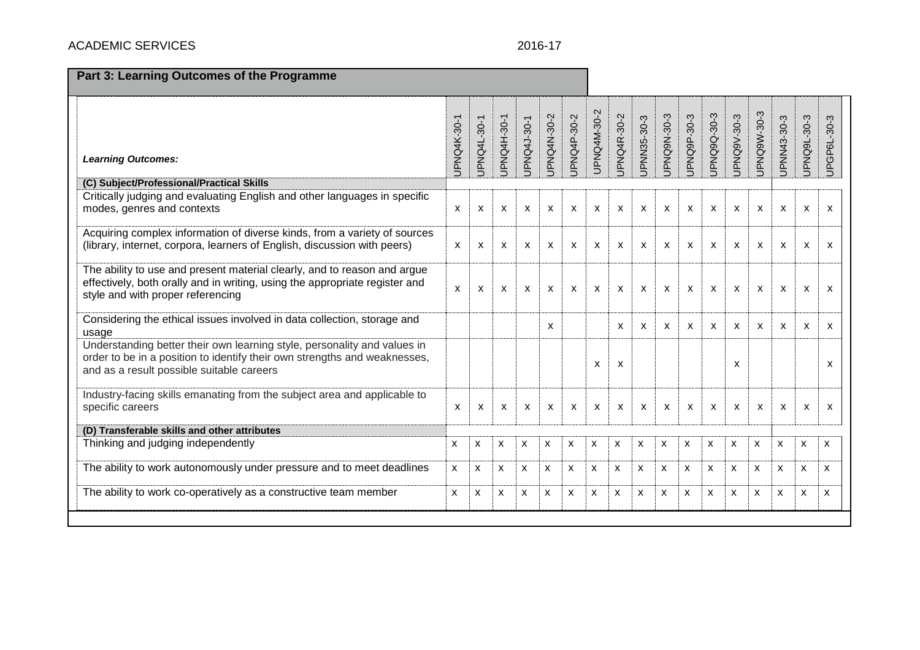# ACADEMIC SERVICES 2016-17

| Part 3: Learning Outcomes of the Programme                                                                                                                                                         |                    |                           |                           |                           |              |             |                           |                           |             |             |             |             |             |                           |              |                           |                           |
|----------------------------------------------------------------------------------------------------------------------------------------------------------------------------------------------------|--------------------|---------------------------|---------------------------|---------------------------|--------------|-------------|---------------------------|---------------------------|-------------|-------------|-------------|-------------|-------------|---------------------------|--------------|---------------------------|---------------------------|
| <b>Learning Outcomes:</b>                                                                                                                                                                          | <b>JPNQ4K-30-1</b> | JPNQ4L-30-1               | JPNQ4H-30-1               | JPNQ4J-30-1               | JPNQ4N-30-2  | JPNQ4P-30-2 | UPNQ4M-30-2               | JPNQ4R-30-2               | JPNN35-30-3 | JPNQ9N-30-3 | JPNQ9P-30-3 | JPNQ9Q-30-3 | JPNQ9V-30-3 | UPNQ9W-30-3               | UPNN43-30-3  | UPNQ9L-30-3               | UPGP6L-30-3               |
| (C) Subject/Professional/Practical Skills<br>Critically judging and evaluating English and other languages in specific<br>modes, genres and contexts                                               | X                  | X                         | X                         | X                         | X            | X           | X                         | X                         | X           | X           | X           | X           | X           | $\boldsymbol{\mathsf{x}}$ | X            | X                         | $\boldsymbol{\mathsf{x}}$ |
|                                                                                                                                                                                                    |                    |                           |                           |                           |              |             |                           |                           |             |             |             |             |             |                           |              |                           |                           |
| Acquiring complex information of diverse kinds, from a variety of sources<br>(library, internet, corpora, learners of English, discussion with peers)                                              | X                  | $\boldsymbol{\mathsf{x}}$ | $\boldsymbol{\mathsf{x}}$ | $\boldsymbol{\mathsf{x}}$ | $\mathsf{x}$ | X           | $\boldsymbol{\mathsf{x}}$ | $\boldsymbol{\mathsf{x}}$ | X           | X           | X           | X           | X           | $\mathsf{x}$              | $\mathsf{x}$ | $\boldsymbol{\mathsf{x}}$ | $\boldsymbol{\mathsf{x}}$ |
| The ability to use and present material clearly, and to reason and argue<br>effectively, both orally and in writing, using the appropriate register and<br>style and with proper referencing       | X                  | X                         | X                         | $\boldsymbol{\mathsf{x}}$ | X            | X           | X                         | X                         | X           | X           | X           | X           | X           | X                         | X            | X                         | X                         |
| Considering the ethical issues involved in data collection, storage and<br>usage                                                                                                                   |                    |                           |                           |                           | X            |             |                           | X                         | x           | X           | X           | x           | X           | X                         | $\mathsf{x}$ | X                         | X                         |
| Understanding better their own learning style, personality and values in<br>order to be in a position to identify their own strengths and weaknesses,<br>and as a result possible suitable careers |                    |                           |                           |                           |              |             | X                         | X                         |             |             |             |             | X           |                           |              |                           | x                         |
| Industry-facing skills emanating from the subject area and applicable to<br>specific careers                                                                                                       | X                  | X                         | X                         | X                         | X            | X           | X                         | X                         | X           | X           | X           | х           | X           | X                         | X            | X                         | X                         |
| (D) Transferable skills and other attributes                                                                                                                                                       |                    |                           |                           |                           |              |             |                           |                           |             |             |             |             |             |                           |              |                           |                           |
| Thinking and judging independently                                                                                                                                                                 | X                  | X                         | X                         | X                         | X            | X           | X                         | X                         | X           | X           | X           | X           | x           | x                         | X            | X                         | X                         |
| The ability to work autonomously under pressure and to meet deadlines                                                                                                                              | x                  | X                         | X                         | х                         | X            | X           | X                         | X                         | X           | X           | X           | X           | x           | x                         | X            | X                         | x                         |
| The ability to work co-operatively as a constructive team member                                                                                                                                   | X                  | X                         | X                         | X                         | X            | X           | X                         | X                         | X           | X           | X           | X           | x           | x                         | X            | X                         | X                         |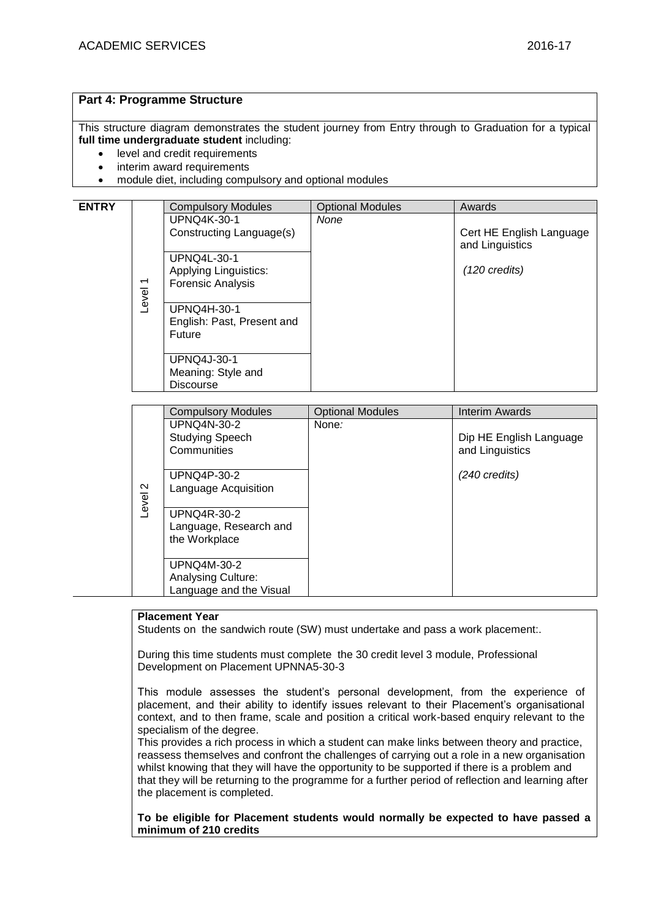### **Part 4: Programme Structure**

This structure diagram demonstrates the student journey from Entry through to Graduation for a typical **full time undergraduate student** including:

- level and credit requirements
- interim award requirements
- module diet, including compulsory and optional modules

| <b>ENTRY</b> |                          | <b>Compulsory Modules</b>            | <b>Optional Modules</b> | Awards                                      |
|--------------|--------------------------|--------------------------------------|-------------------------|---------------------------------------------|
|              |                          | <b>UPNQ4K-30-1</b>                   | None                    |                                             |
|              |                          | Constructing Language(s)             |                         | Cert HE English Language<br>and Linguistics |
|              |                          | <b>UPNQ4L-30-1</b>                   |                         |                                             |
|              |                          | <b>Applying Linguistics:</b>         |                         | $(120 \text{ credits})$                     |
|              | $\overline{\phantom{0}}$ | <b>Forensic Analysis</b>             |                         |                                             |
|              | Level                    |                                      |                         |                                             |
|              |                          | <b>UPNQ4H-30-1</b>                   |                         |                                             |
|              |                          | English: Past, Present and<br>Future |                         |                                             |
|              |                          |                                      |                         |                                             |
|              |                          | <b>UPNQ4J-30-1</b>                   |                         |                                             |
|              |                          | Meaning: Style and                   |                         |                                             |
|              |                          | <b>Discourse</b>                     |                         |                                             |

|        | <b>Compulsory Modules</b> | <b>Optional Modules</b> | Interim Awards          |
|--------|---------------------------|-------------------------|-------------------------|
|        | <b>UPNQ4N-30-2</b>        | None:                   |                         |
|        | <b>Studying Speech</b>    |                         | Dip HE English Language |
|        | Communities               |                         | and Linguistics         |
|        |                           |                         |                         |
|        | <b>UPNQ4P-30-2</b>        |                         | $(240 \text{ credits})$ |
| $\sim$ | Language Acquisition      |                         |                         |
| Level  |                           |                         |                         |
|        | <b>UPNQ4R-30-2</b>        |                         |                         |
|        | Language, Research and    |                         |                         |
|        | the Workplace             |                         |                         |
|        |                           |                         |                         |
|        | <b>UPNQ4M-30-2</b>        |                         |                         |
|        | <b>Analysing Culture:</b> |                         |                         |
|        | Language and the Visual   |                         |                         |

### **Placement Year**

Students on the sandwich route (SW) must undertake and pass a work placement:.

During this time students must complete the 30 credit level 3 module, Professional Development on Placement UPNNA5-30-3

This module assesses the student's personal development, from the experience of placement, and their ability to identify issues relevant to their Placement's organisational context, and to then frame, scale and position a critical work-based enquiry relevant to the specialism of the degree.

This provides a rich process in which a student can make links between theory and practice, reassess themselves and confront the challenges of carrying out a role in a new organisation whilst knowing that they will have the opportunity to be supported if there is a problem and that they will be returning to the programme for a further period of reflection and learning after the placement is completed.

**To be eligible for Placement students would normally be expected to have passed a minimum of 210 credits**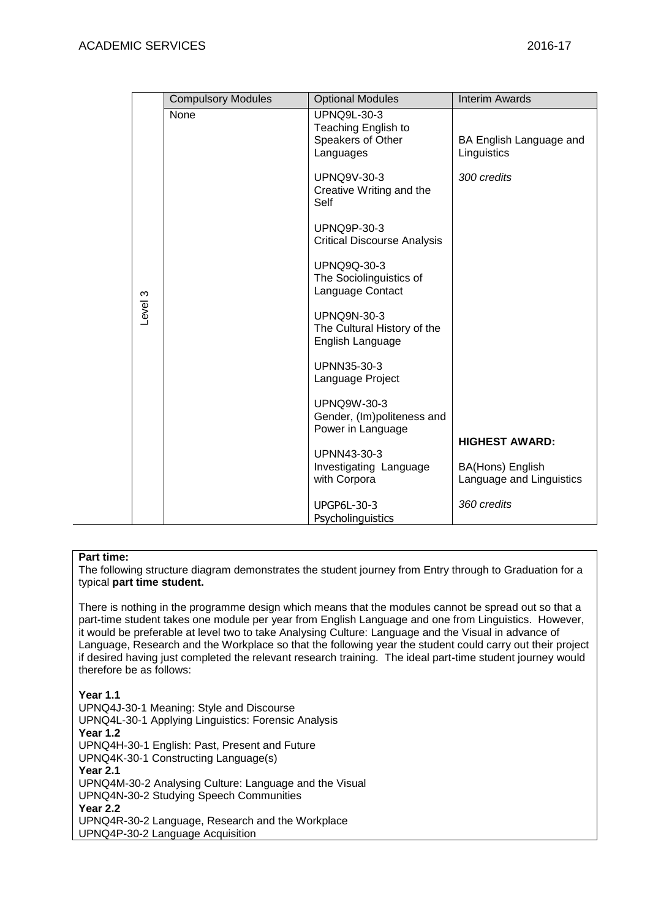|         | <b>Compulsory Modules</b> | <b>Optional Modules</b>                                                     | <b>Interim Awards</b>                        |
|---------|---------------------------|-----------------------------------------------------------------------------|----------------------------------------------|
|         | None                      | <b>UPNQ9L-30-3</b><br>Teaching English to<br>Speakers of Other<br>Languages | BA English Language and<br>Linguistics       |
|         |                           | <b>UPNQ9V-30-3</b><br>Creative Writing and the<br>Self                      | 300 credits                                  |
|         |                           | <b>UPNQ9P-30-3</b><br><b>Critical Discourse Analysis</b>                    |                                              |
|         |                           | <b>UPNQ9Q-30-3</b><br>The Sociolinguistics of<br>Language Contact           |                                              |
| -evel 3 |                           | <b>UPNQ9N-30-3</b><br>The Cultural History of the<br>English Language       |                                              |
|         |                           | UPNN35-30-3<br>Language Project                                             |                                              |
|         |                           | <b>UPNQ9W-30-3</b><br>Gender, (Im)politeness and<br>Power in Language       |                                              |
|         |                           | UPNN43-30-3                                                                 | <b>HIGHEST AWARD:</b>                        |
|         |                           | Investigating Language<br>with Corpora                                      | BA(Hons) English<br>Language and Linguistics |
|         |                           | <b>UPGP6L-30-3</b><br>Psycholinguistics                                     | 360 credits                                  |

### **Part time:**

The following structure diagram demonstrates the student journey from Entry through to Graduation for a typical **part time student.**

There is nothing in the programme design which means that the modules cannot be spread out so that a part-time student takes one module per year from English Language and one from Linguistics. However, it would be preferable at level two to take Analysing Culture: Language and the Visual in advance of Language, Research and the Workplace so that the following year the student could carry out their project if desired having just completed the relevant research training. The ideal part-time student journey would therefore be as follows:

**Year 1.1** UPNQ4J-30-1 Meaning: Style and Discourse UPNQ4L-30-1 Applying Linguistics: Forensic Analysis **Year 1.2** UPNQ4H-30-1 English: Past, Present and Future UPNQ4K-30-1 Constructing Language(s) **Year 2.1** UPNQ4M-30-2 Analysing Culture: Language and the Visual UPNQ4N-30-2 Studying Speech Communities **Year 2.2** UPNQ4R-30-2 Language, Research and the Workplace UPNQ4P-30-2 Language Acquisition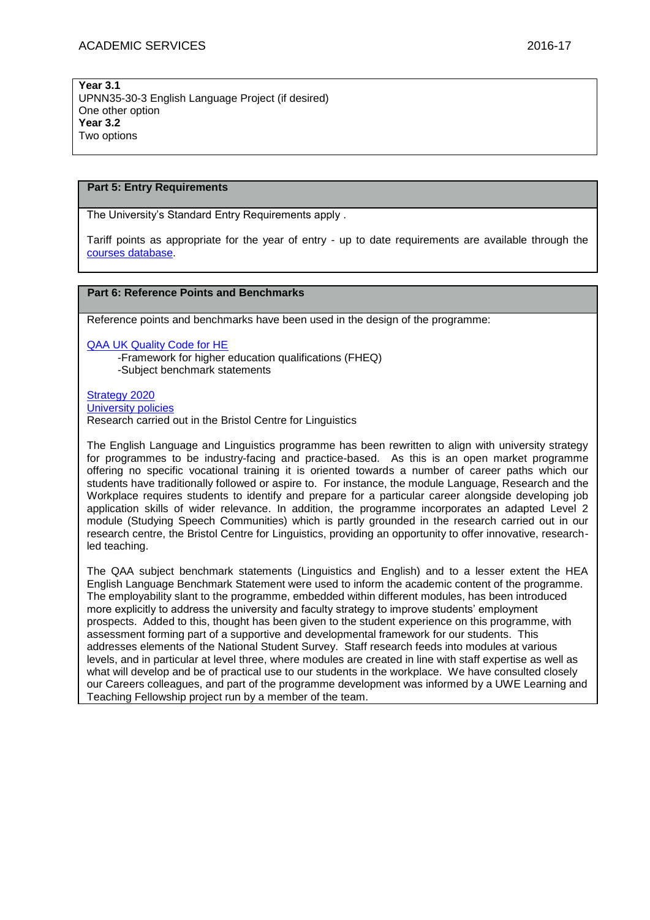**Year 3.1** UPNN35-30-3 English Language Project (if desired) One other option **Year 3.2** Two options

### **Part 5: Entry Requirements**

The University's Standard Entry Requirements apply .

Tariff points as appropriate for the year of entry - up to date requirements are available through the [courses database.](http://www1.uwe.ac.uk/whatcanistudy/courses)

### **Part 6: Reference Points and Benchmarks**

Reference points and benchmarks have been used in the design of the programme:

[QAA UK Quality Code for HE](http://www.qaa.ac.uk/assuringstandardsandquality/quality-code/Pages/default.aspx)

-Framework for higher education qualifications (FHEQ) -Subject benchmark statements

[Strategy 2020](http://www1.uwe.ac.uk/about/corporateinformation/strategy.aspx) [University](http://www1.uwe.ac.uk/aboutus/policies) policies Research carried out in the Bristol Centre for Linguistics

The English Language and Linguistics programme has been rewritten to align with university strategy for programmes to be industry-facing and practice-based. As this is an open market programme offering no specific vocational training it is oriented towards a number of career paths which our students have traditionally followed or aspire to. For instance, the module Language, Research and the Workplace requires students to identify and prepare for a particular career alongside developing job application skills of wider relevance. In addition, the programme incorporates an adapted Level 2 module (Studying Speech Communities) which is partly grounded in the research carried out in our research centre, the Bristol Centre for Linguistics, providing an opportunity to offer innovative, researchled teaching.

The QAA subject benchmark statements (Linguistics and English) and to a lesser extent the HEA English Language Benchmark Statement were used to inform the academic content of the programme. The employability slant to the programme, embedded within different modules, has been introduced more explicitly to address the university and faculty strategy to improve students' employment prospects. Added to this, thought has been given to the student experience on this programme, with assessment forming part of a supportive and developmental framework for our students. This addresses elements of the National Student Survey. Staff research feeds into modules at various levels, and in particular at level three, where modules are created in line with staff expertise as well as what will develop and be of practical use to our students in the workplace. We have consulted closely our Careers colleagues, and part of the programme development was informed by a UWE Learning and Teaching Fellowship project run by a member of the team.